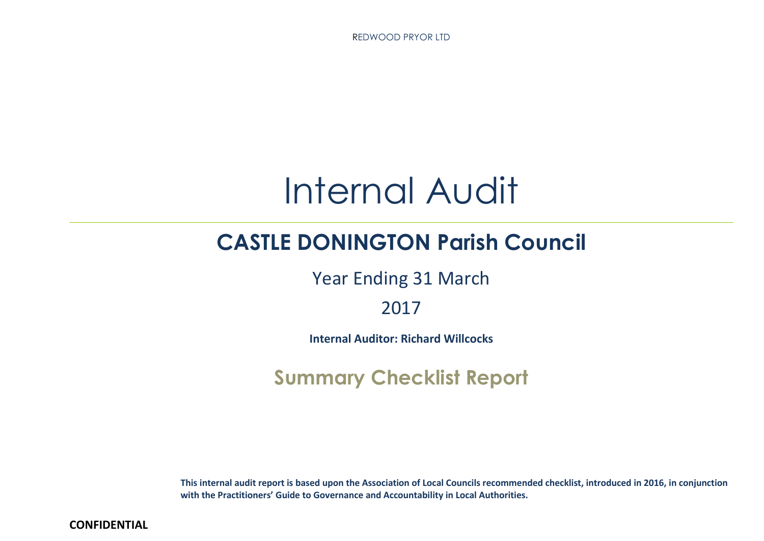REDWOOD PRYOR LTD



# **CASTLE DONINGTON Parish Council**

Year Ending 31 March

2017

**Internal Auditor: Richard Willcocks**

**Summary Checklist Report**

This internal audit report is based upon the Association of Local Councils recommended checklist, introduced in 2016, in conjunction **with the Practitioners' Guide to Governance and Accountability in Local Authorities.**

**CONFIDENTIAL**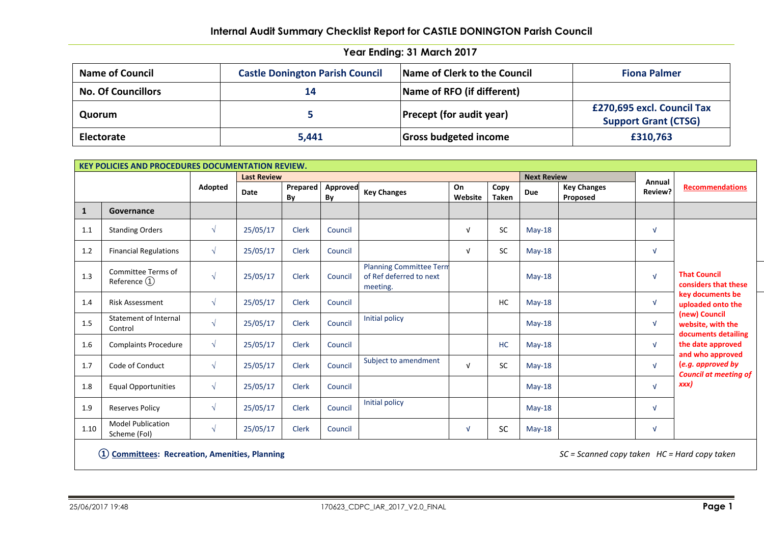| <b>Name of Council</b>    | <b>Castle Donington Parish Council</b> | Name of Clerk to the Council    | <b>Fiona Palmer</b>                                       |
|---------------------------|----------------------------------------|---------------------------------|-----------------------------------------------------------|
| <b>No. Of Councillors</b> | 14                                     | Name of RFO (if different)      |                                                           |
| Quorum                    |                                        | <b>Precept (for audit year)</b> | £270,695 excl. Council Tax<br><b>Support Grant (CTSG)</b> |
| Electorate                | 5,441                                  | <b>Gross budgeted income</b>    | £310,763                                                  |

| KEY POLICIES AND PROCEDURES DOCUMENTATION REVIEW. |                                          |            |                    |                |                       |                                                                       |               |                      |                    |                                |            |                                                                       |
|---------------------------------------------------|------------------------------------------|------------|--------------------|----------------|-----------------------|-----------------------------------------------------------------------|---------------|----------------------|--------------------|--------------------------------|------------|-----------------------------------------------------------------------|
|                                                   |                                          |            | <b>Last Review</b> |                |                       |                                                                       |               |                      | <b>Next Review</b> |                                | Annual     |                                                                       |
|                                                   |                                          | Adopted    | Date               | Prepared<br>By | <b>Approved</b><br>By | <b>Key Changes</b>                                                    | On<br>Website | Copy<br><b>Taken</b> | Due                | <b>Key Changes</b><br>Proposed | Review?    | <b>Recommendations</b>                                                |
| 1                                                 | Governance                               |            |                    |                |                       |                                                                       |               |                      |                    |                                |            |                                                                       |
| 1.1                                               | <b>Standing Orders</b>                   | $\sqrt{ }$ | 25/05/17           | <b>Clerk</b>   | Council               |                                                                       | $\sqrt{ }$    | SC                   | $May-18$           |                                | $\sqrt{ }$ |                                                                       |
| 1.2                                               | <b>Financial Regulations</b>             | $\sqrt{ }$ | 25/05/17           | <b>Clerk</b>   | Council               |                                                                       | $\sqrt{ }$    | <b>SC</b>            | $May-18$           |                                | $\sqrt{ }$ |                                                                       |
| 1.3                                               | Committee Terms of<br>Reference $(1)$    | $\sqrt{ }$ | 25/05/17           | <b>Clerk</b>   | Council               | <b>Planning Committee Term</b><br>of Ref deferred to next<br>meeting. |               |                      | $May-18$           |                                | $\sqrt{ }$ | <b>That Council</b><br>considers that these                           |
| 1.4                                               | <b>Risk Assessment</b>                   | $\sqrt{ }$ | 25/05/17           | <b>Clerk</b>   | Council               |                                                                       |               | HC                   | $May-18$           |                                | $\sqrt{ }$ | key documents be<br>uploaded onto the                                 |
| 1.5                                               | Statement of Internal<br>Control         | $\sqrt{ }$ | 25/05/17           | <b>Clerk</b>   | Council               | Initial policy                                                        |               |                      | $May-18$           |                                | $\sqrt{ }$ | (new) Council<br>website, with the<br>documents detailing             |
| 1.6                                               | <b>Complaints Procedure</b>              | $\sqrt{ }$ | 25/05/17           | <b>Clerk</b>   | Council               |                                                                       |               | <b>HC</b>            | $May-18$           |                                | $\sqrt{ }$ | the date approved                                                     |
| 1.7                                               | Code of Conduct                          | $\sqrt{ }$ | 25/05/17           | <b>Clerk</b>   | Council               | Subject to amendment                                                  | $\sqrt{ }$    | <b>SC</b>            | $May-18$           |                                | $\sqrt{ }$ | and who approved<br>(e.g. approved by<br><b>Council at meeting of</b> |
| 1.8                                               | <b>Equal Opportunities</b>               | $\sqrt{ }$ | 25/05/17           | <b>Clerk</b>   | Council               |                                                                       |               |                      | $Mav-18$           |                                | $\sqrt{ }$ | xxx)                                                                  |
| 1.9                                               | <b>Reserves Policy</b>                   | $\sqrt{ }$ | 25/05/17           | <b>Clerk</b>   | Council               | Initial policy                                                        |               |                      | $May-18$           |                                | $\sqrt{ }$ |                                                                       |
| 1.10                                              | <b>Model Publication</b><br>Scheme (Fol) | $\sqrt{ }$ | 25/05/17           | <b>Clerk</b>   | Council               |                                                                       | $\sqrt{ }$    | <b>SC</b>            | $Mav-18$           |                                | $\sqrt{ }$ |                                                                       |

**① Committees: Recreation, Amenities, Planning** *SC = Scanned copy taken HC = Hard copy taken*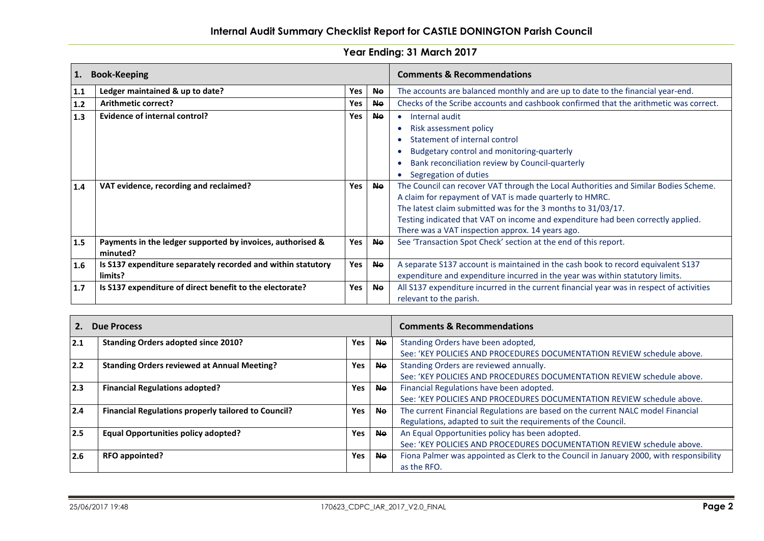| 1.    | <b>Book-Keeping</b>                                          |     |           | <b>Comments &amp; Recommendations</b>                                                    |
|-------|--------------------------------------------------------------|-----|-----------|------------------------------------------------------------------------------------------|
| 1.1   | Ledger maintained & up to date?                              | Yes | <b>No</b> | The accounts are balanced monthly and are up to date to the financial year-end.          |
| $1.2$ | Arithmetic correct?                                          | Yes | <b>No</b> | Checks of the Scribe accounts and cashbook confirmed that the arithmetic was correct.    |
| 1.3   | Evidence of internal control?                                | Yes | Ne.       | Internal audit<br>$\bullet$                                                              |
|       |                                                              |     |           | Risk assessment policy                                                                   |
|       |                                                              |     |           | Statement of internal control                                                            |
|       |                                                              |     |           | Budgetary control and monitoring-quarterly                                               |
|       |                                                              |     |           | Bank reconciliation review by Council-quarterly                                          |
|       |                                                              |     |           | Segregation of duties                                                                    |
| 1.4   | VAT evidence, recording and reclaimed?                       | Yes | <b>No</b> | The Council can recover VAT through the Local Authorities and Similar Bodies Scheme.     |
|       |                                                              |     |           | A claim for repayment of VAT is made quarterly to HMRC.                                  |
|       |                                                              |     |           | The latest claim submitted was for the 3 months to 31/03/17.                             |
|       |                                                              |     |           | Testing indicated that VAT on income and expenditure had been correctly applied.         |
|       |                                                              |     |           | There was a VAT inspection approx. 14 years ago.                                         |
| 1.5   | Payments in the ledger supported by invoices, authorised &   | Yes | <b>Ne</b> | See 'Transaction Spot Check' section at the end of this report.                          |
|       | minuted?                                                     |     |           |                                                                                          |
| 1.6   | Is S137 expenditure separately recorded and within statutory | Yes | <b>No</b> | A separate S137 account is maintained in the cash book to record equivalent S137         |
|       | limits?                                                      |     |           | expenditure and expenditure incurred in the year was within statutory limits.            |
| 1.7   | Is S137 expenditure of direct benefit to the electorate?     | Yes | <b>Ne</b> | All S137 expenditure incurred in the current financial year was in respect of activities |
|       |                                                              |     |           | relevant to the parish.                                                                  |

|     | <b>Due Process</b>                                         |            |           | <b>Comments &amp; Recommendations</b>                                                   |  |
|-----|------------------------------------------------------------|------------|-----------|-----------------------------------------------------------------------------------------|--|
| 2.1 | <b>Standing Orders adopted since 2010?</b>                 | <b>Yes</b> | <b>Ne</b> | Standing Orders have been adopted,                                                      |  |
|     |                                                            |            |           | See: 'KEY POLICIES AND PROCEDURES DOCUMENTATION REVIEW schedule above.                  |  |
| 2.2 | <b>Standing Orders reviewed at Annual Meeting?</b>         | Yes        | <b>Ne</b> | Standing Orders are reviewed annually.                                                  |  |
|     |                                                            |            |           | See: 'KEY POLICIES AND PROCEDURES DOCUMENTATION REVIEW schedule above.                  |  |
| 2.3 | <b>Financial Regulations adopted?</b>                      | Yes        | <b>Ne</b> | Financial Regulations have been adopted.                                                |  |
|     |                                                            |            |           | See: 'KEY POLICIES AND PROCEDURES DOCUMENTATION REVIEW schedule above.                  |  |
| 2.4 | <b>Financial Regulations properly tailored to Council?</b> | <b>Yes</b> | <b>Ne</b> | The current Financial Regulations are based on the current NALC model Financial         |  |
|     |                                                            |            |           | Regulations, adapted to suit the requirements of the Council.                           |  |
| 2.5 | <b>Equal Opportunities policy adopted?</b>                 | Yes        | <b>No</b> | An Equal Opportunities policy has been adopted.                                         |  |
|     |                                                            |            |           | See: 'KEY POLICIES AND PROCEDURES DOCUMENTATION REVIEW schedule above.                  |  |
| 2.6 | <b>RFO appointed?</b>                                      | Yes        | <b>No</b> | Fiona Palmer was appointed as Clerk to the Council in January 2000, with responsibility |  |
|     |                                                            |            |           | as the RFO.                                                                             |  |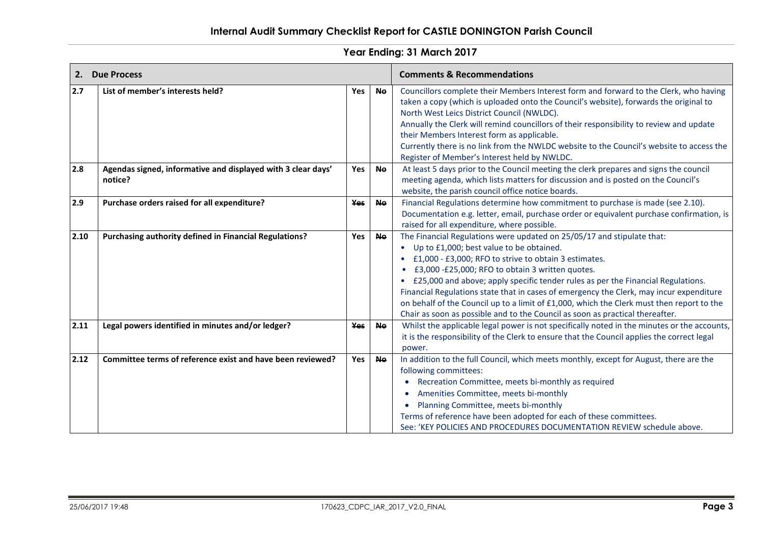|      | 2. Due Process                                                          |            |           | <b>Comments &amp; Recommendations</b>                                                                                                                                                                                                                                                                                                                                                                                                                                                                                                                                                          |
|------|-------------------------------------------------------------------------|------------|-----------|------------------------------------------------------------------------------------------------------------------------------------------------------------------------------------------------------------------------------------------------------------------------------------------------------------------------------------------------------------------------------------------------------------------------------------------------------------------------------------------------------------------------------------------------------------------------------------------------|
| 2.7  | List of member's interests held?                                        | Yes        | <b>No</b> | Councillors complete their Members Interest form and forward to the Clerk, who having<br>taken a copy (which is uploaded onto the Council's website), forwards the original to<br>North West Leics District Council (NWLDC).<br>Annually the Clerk will remind councillors of their responsibility to review and update<br>their Members Interest form as applicable.<br>Currently there is no link from the NWLDC website to the Council's website to access the<br>Register of Member's Interest held by NWLDC.                                                                              |
| 2.8  | Agendas signed, informative and displayed with 3 clear days'<br>notice? | <b>Yes</b> | <b>Ne</b> | At least 5 days prior to the Council meeting the clerk prepares and signs the council<br>meeting agenda, which lists matters for discussion and is posted on the Council's<br>website, the parish council office notice boards.                                                                                                                                                                                                                                                                                                                                                                |
| 2.9  | Purchase orders raised for all expenditure?                             | <b>Yes</b> | <b>Ne</b> | Financial Regulations determine how commitment to purchase is made (see 2.10).<br>Documentation e.g. letter, email, purchase order or equivalent purchase confirmation, is<br>raised for all expenditure, where possible.                                                                                                                                                                                                                                                                                                                                                                      |
| 2.10 | Purchasing authority defined in Financial Regulations?                  | <b>Yes</b> | <b>Ne</b> | The Financial Regulations were updated on 25/05/17 and stipulate that:<br>• Up to £1,000; best value to be obtained.<br>£1,000 - £3,000; RFO to strive to obtain 3 estimates.<br>£3,000 -£25,000; RFO to obtain 3 written quotes.<br>£25,000 and above; apply specific tender rules as per the Financial Regulations.<br>Financial Regulations state that in cases of emergency the Clerk, may incur expenditure<br>on behalf of the Council up to a limit of £1,000, which the Clerk must then report to the<br>Chair as soon as possible and to the Council as soon as practical thereafter. |
| 2.11 | Legal powers identified in minutes and/or ledger?                       | <b>Yes</b> | <b>Ne</b> | Whilst the applicable legal power is not specifically noted in the minutes or the accounts,<br>it is the responsibility of the Clerk to ensure that the Council applies the correct legal<br>power.                                                                                                                                                                                                                                                                                                                                                                                            |
| 2.12 | Committee terms of reference exist and have been reviewed?              | Yes        | <b>No</b> | In addition to the full Council, which meets monthly, except for August, there are the<br>following committees:<br>• Recreation Committee, meets bi-monthly as required<br>• Amenities Committee, meets bi-monthly<br>• Planning Committee, meets bi-monthly<br>Terms of reference have been adopted for each of these committees.<br>See: 'KEY POLICIES AND PROCEDURES DOCUMENTATION REVIEW schedule above.                                                                                                                                                                                   |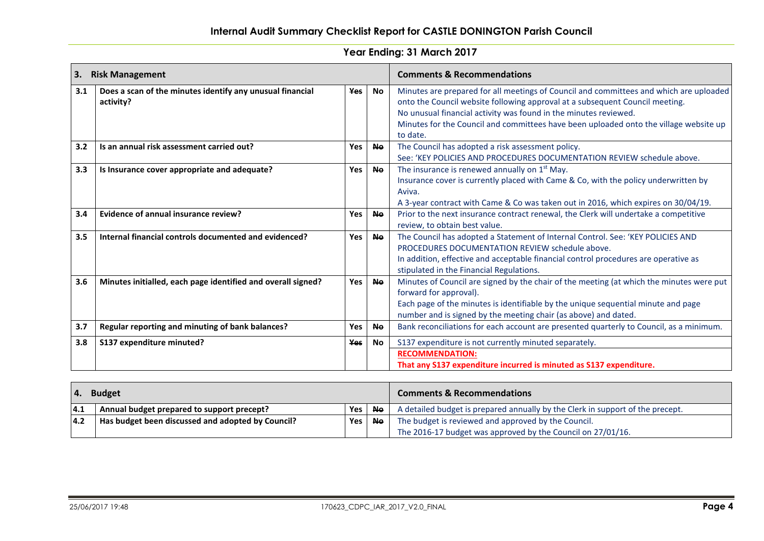| 3.  | <b>Risk Management</b>                                                 |            |           | <b>Comments &amp; Recommendations</b>                                                                                                                                                                                                                                                                                                           |
|-----|------------------------------------------------------------------------|------------|-----------|-------------------------------------------------------------------------------------------------------------------------------------------------------------------------------------------------------------------------------------------------------------------------------------------------------------------------------------------------|
| 3.1 | Does a scan of the minutes identify any unusual financial<br>activity? | <b>Yes</b> | No        | Minutes are prepared for all meetings of Council and committees and which are uploaded<br>onto the Council website following approval at a subsequent Council meeting.<br>No unusual financial activity was found in the minutes reviewed.<br>Minutes for the Council and committees have been uploaded onto the village website up<br>to date. |
| 3.2 | Is an annual risk assessment carried out?                              | Yes        | <b>No</b> | The Council has adopted a risk assessment policy.<br>See: 'KEY POLICIES AND PROCEDURES DOCUMENTATION REVIEW schedule above.                                                                                                                                                                                                                     |
| 3.3 | Is Insurance cover appropriate and adequate?                           | <b>Yes</b> | <b>No</b> | The insurance is renewed annually on 1 <sup>st</sup> May.<br>Insurance cover is currently placed with Came & Co, with the policy underwritten by<br>Aviva.<br>A 3-year contract with Came & Co was taken out in 2016, which expires on 30/04/19.                                                                                                |
| 3.4 | Evidence of annual insurance review?                                   | Yes        | <b>No</b> | Prior to the next insurance contract renewal, the Clerk will undertake a competitive<br>review, to obtain best value.                                                                                                                                                                                                                           |
| 3.5 | Internal financial controls documented and evidenced?                  | <b>Yes</b> | <b>Ne</b> | The Council has adopted a Statement of Internal Control. See: 'KEY POLICIES AND<br>PROCEDURES DOCUMENTATION REVIEW schedule above.<br>In addition, effective and acceptable financial control procedures are operative as<br>stipulated in the Financial Regulations.                                                                           |
| 3.6 | Minutes initialled, each page identified and overall signed?           | <b>Yes</b> | <b>No</b> | Minutes of Council are signed by the chair of the meeting (at which the minutes were put<br>forward for approval).<br>Each page of the minutes is identifiable by the unique sequential minute and page<br>number and is signed by the meeting chair (as above) and dated.                                                                      |
| 3.7 | Regular reporting and minuting of bank balances?                       | Yes        | <b>Ne</b> | Bank reconciliations for each account are presented quarterly to Council, as a minimum.                                                                                                                                                                                                                                                         |
| 3.8 | S137 expenditure minuted?                                              | <b>Yes</b> | <b>No</b> | S137 expenditure is not currently minuted separately.                                                                                                                                                                                                                                                                                           |
|     |                                                                        |            |           | <b>RECOMMENDATION:</b><br>That any S137 expenditure incurred is minuted as S137 expenditure.                                                                                                                                                                                                                                                    |

| <b>Budget</b><br>4. |                                                   |     | <b>Comments &amp; Recommendations</b> |                                                                                |
|---------------------|---------------------------------------------------|-----|---------------------------------------|--------------------------------------------------------------------------------|
| 4.1                 | Annual budget prepared to support precept?        | Yes | <b>No</b>                             | A detailed budget is prepared annually by the Clerk in support of the precept. |
| 4.2                 | Has budget been discussed and adopted by Council? | Yes | <b>Ne</b>                             | The budget is reviewed and approved by the Council.                            |
|                     |                                                   |     |                                       | The 2016-17 budget was approved by the Council on 27/01/16.                    |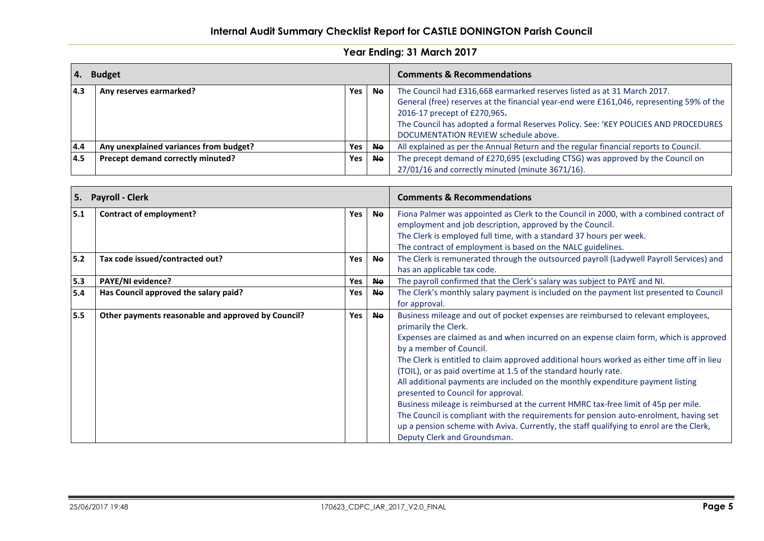| <b>Budget</b><br><b>4.</b> |                                        |     | <b>Comments &amp; Recommendations</b> |                                                                                                                                                                                                                                                                                                                                    |
|----------------------------|----------------------------------------|-----|---------------------------------------|------------------------------------------------------------------------------------------------------------------------------------------------------------------------------------------------------------------------------------------------------------------------------------------------------------------------------------|
| 4.3                        | Any reserves earmarked?                | Yes | <b>Ne</b>                             | The Council had £316,668 earmarked reserves listed as at 31 March 2017.<br>General (free) reserves at the financial year-end were £161,046, representing 59% of the<br>2016-17 precept of £270,965.<br>The Council has adopted a formal Reserves Policy. See: 'KEY POLICIES AND PROCEDURES<br>DOCUMENTATION REVIEW schedule above. |
| 4.4                        | Any unexplained variances from budget? | Yes | <b>Ne</b>                             | All explained as per the Annual Return and the regular financial reports to Council.                                                                                                                                                                                                                                               |
| 4.5                        | Precept demand correctly minuted?      | Yes | <b>No</b>                             | The precept demand of £270,695 (excluding CTSG) was approved by the Council on                                                                                                                                                                                                                                                     |
|                            |                                        |     |                                       | 27/01/16 and correctly minuted (minute 3671/16).                                                                                                                                                                                                                                                                                   |

| <b>Payroll - Clerk</b><br>5. |                                                    |     | <b>Comments &amp; Recommendations</b> |                                                                                                                                                                                                                                                                                                                                                                                                                                                                                                                                                                                                                                                                                                                                                                                                                                   |
|------------------------------|----------------------------------------------------|-----|---------------------------------------|-----------------------------------------------------------------------------------------------------------------------------------------------------------------------------------------------------------------------------------------------------------------------------------------------------------------------------------------------------------------------------------------------------------------------------------------------------------------------------------------------------------------------------------------------------------------------------------------------------------------------------------------------------------------------------------------------------------------------------------------------------------------------------------------------------------------------------------|
| 5.1                          | <b>Contract of employment?</b>                     | Yes | <b>No</b>                             | Fiona Palmer was appointed as Clerk to the Council in 2000, with a combined contract of<br>employment and job description, approved by the Council.<br>The Clerk is employed full time, with a standard 37 hours per week.<br>The contract of employment is based on the NALC guidelines.                                                                                                                                                                                                                                                                                                                                                                                                                                                                                                                                         |
| 5.2                          | Tax code issued/contracted out?                    | Yes | <b>Ne</b>                             | The Clerk is remunerated through the outsourced payroll (Ladywell Payroll Services) and<br>has an applicable tax code.                                                                                                                                                                                                                                                                                                                                                                                                                                                                                                                                                                                                                                                                                                            |
| 5.3                          | PAYE/NI evidence?                                  | Yes | <b>Ne</b>                             | The payroll confirmed that the Clerk's salary was subject to PAYE and NI.                                                                                                                                                                                                                                                                                                                                                                                                                                                                                                                                                                                                                                                                                                                                                         |
| 5.4                          | Has Council approved the salary paid?              | Yes | <b>Ne</b>                             | The Clerk's monthly salary payment is included on the payment list presented to Council<br>for approval.                                                                                                                                                                                                                                                                                                                                                                                                                                                                                                                                                                                                                                                                                                                          |
| 5.5                          | Other payments reasonable and approved by Council? | Yes | <b>Ne</b>                             | Business mileage and out of pocket expenses are reimbursed to relevant employees,<br>primarily the Clerk.<br>Expenses are claimed as and when incurred on an expense claim form, which is approved<br>by a member of Council.<br>The Clerk is entitled to claim approved additional hours worked as either time off in lieu<br>(TOIL), or as paid overtime at 1.5 of the standard hourly rate.<br>All additional payments are included on the monthly expenditure payment listing<br>presented to Council for approval.<br>Business mileage is reimbursed at the current HMRC tax-free limit of 45p per mile.<br>The Council is compliant with the requirements for pension auto-enrolment, having set<br>up a pension scheme with Aviva. Currently, the staff qualifying to enrol are the Clerk,<br>Deputy Clerk and Groundsman. |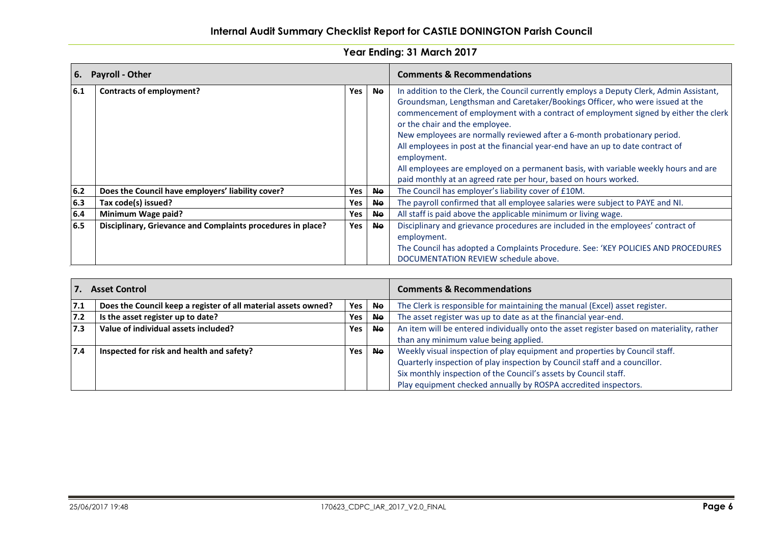| <b>6.</b> | <b>Payroll - Other</b>                                      |     |           | <b>Comments &amp; Recommendations</b>                                                                                                                                                                                                                                                                                                                                                                                                                                                                                                                                                                                                     |
|-----------|-------------------------------------------------------------|-----|-----------|-------------------------------------------------------------------------------------------------------------------------------------------------------------------------------------------------------------------------------------------------------------------------------------------------------------------------------------------------------------------------------------------------------------------------------------------------------------------------------------------------------------------------------------------------------------------------------------------------------------------------------------------|
| 6.1       | <b>Contracts of employment?</b>                             | Yes | <b>No</b> | In addition to the Clerk, the Council currently employs a Deputy Clerk, Admin Assistant,<br>Groundsman, Lengthsman and Caretaker/Bookings Officer, who were issued at the<br>commencement of employment with a contract of employment signed by either the clerk<br>or the chair and the employee.<br>New employees are normally reviewed after a 6-month probationary period.<br>All employees in post at the financial year-end have an up to date contract of<br>employment.<br>All employees are employed on a permanent basis, with variable weekly hours and are<br>paid monthly at an agreed rate per hour, based on hours worked. |
| $6.2$     | Does the Council have employers' liability cover?           | Yes | <b>No</b> | The Council has employer's liability cover of £10M.                                                                                                                                                                                                                                                                                                                                                                                                                                                                                                                                                                                       |
| 6.3       | Tax code(s) issued?                                         | Yes | <b>No</b> | The payroll confirmed that all employee salaries were subject to PAYE and NI.                                                                                                                                                                                                                                                                                                                                                                                                                                                                                                                                                             |
| 6.4       | Minimum Wage paid?                                          | Yes | <b>No</b> | All staff is paid above the applicable minimum or living wage.                                                                                                                                                                                                                                                                                                                                                                                                                                                                                                                                                                            |
| 6.5       | Disciplinary, Grievance and Complaints procedures in place? | Yes | <b>No</b> | Disciplinary and grievance procedures are included in the employees' contract of<br>employment.<br>The Council has adopted a Complaints Procedure. See: 'KEY POLICIES AND PROCEDURES<br>DOCUMENTATION REVIEW schedule above.                                                                                                                                                                                                                                                                                                                                                                                                              |

| <b>Asset Control</b> |                                                                |            | <b>Comments &amp; Recommendations</b> |                                                                                           |
|----------------------|----------------------------------------------------------------|------------|---------------------------------------|-------------------------------------------------------------------------------------------|
| 7.1                  | Does the Council keep a register of all material assets owned? | <b>Yes</b> | <b>No</b>                             | The Clerk is responsible for maintaining the manual (Excel) asset register.               |
| 7.2                  | Is the asset register up to date?                              | Yes        | <b>Ne</b>                             | The asset register was up to date as at the financial year-end.                           |
| 7.3                  | Value of individual assets included?                           | <b>Yes</b> | Ne                                    | An item will be entered individually onto the asset register based on materiality, rather |
|                      |                                                                |            |                                       | than any minimum value being applied.                                                     |
| 7.4                  | Inspected for risk and health and safety?                      | <b>Yes</b> | <b>Ne</b>                             | Weekly visual inspection of play equipment and properties by Council staff.               |
|                      |                                                                |            |                                       | Quarterly inspection of play inspection by Council staff and a councillor.                |
|                      |                                                                |            |                                       | Six monthly inspection of the Council's assets by Council staff.                          |
|                      |                                                                |            |                                       | Play equipment checked annually by ROSPA accredited inspectors.                           |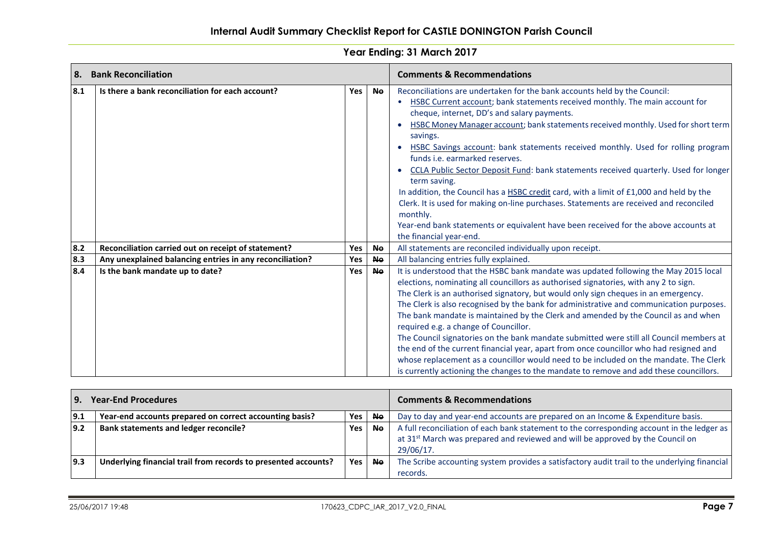| l 8. | <b>Bank Reconciliation</b>                               |            |           | <b>Comments &amp; Recommendations</b>                                                                                                                                                                                                                                                                                                                                                                                                                                                                                                                                                                                                                                                                                                                                                                                                                                |  |  |
|------|----------------------------------------------------------|------------|-----------|----------------------------------------------------------------------------------------------------------------------------------------------------------------------------------------------------------------------------------------------------------------------------------------------------------------------------------------------------------------------------------------------------------------------------------------------------------------------------------------------------------------------------------------------------------------------------------------------------------------------------------------------------------------------------------------------------------------------------------------------------------------------------------------------------------------------------------------------------------------------|--|--|
| 8.1  | Is there a bank reconciliation for each account?         | Yes        | <b>No</b> | Reconciliations are undertaken for the bank accounts held by the Council:<br>HSBC Current account; bank statements received monthly. The main account for<br>cheque, internet, DD's and salary payments.<br>HSBC Money Manager account; bank statements received monthly. Used for short term<br>savings.<br>HSBC Savings account: bank statements received monthly. Used for rolling program<br>funds i.e. earmarked reserves.<br><b>CCLA Public Sector Deposit Fund: bank statements received quarterly. Used for longer</b><br>term saving.<br>In addition, the Council has a HSBC credit card, with a limit of £1,000 and held by the<br>Clerk. It is used for making on-line purchases. Statements are received and reconciled<br>monthly.<br>Year-end bank statements or equivalent have been received for the above accounts at<br>the financial year-end.    |  |  |
| 8.2  | Reconciliation carried out on receipt of statement?      | Yes        | <b>Ne</b> | All statements are reconciled individually upon receipt.                                                                                                                                                                                                                                                                                                                                                                                                                                                                                                                                                                                                                                                                                                                                                                                                             |  |  |
| 8.3  | Any unexplained balancing entries in any reconciliation? | Yes        | <b>Ne</b> | All balancing entries fully explained.                                                                                                                                                                                                                                                                                                                                                                                                                                                                                                                                                                                                                                                                                                                                                                                                                               |  |  |
| 8.4  | Is the bank mandate up to date?                          | <b>Yes</b> | <b>Ne</b> | It is understood that the HSBC bank mandate was updated following the May 2015 local<br>elections, nominating all councillors as authorised signatories, with any 2 to sign.<br>The Clerk is an authorised signatory, but would only sign cheques in an emergency.<br>The Clerk is also recognised by the bank for administrative and communication purposes.<br>The bank mandate is maintained by the Clerk and amended by the Council as and when<br>required e.g. a change of Councillor.<br>The Council signatories on the bank mandate submitted were still all Council members at<br>the end of the current financial year, apart from once councillor who had resigned and<br>whose replacement as a councillor would need to be included on the mandate. The Clerk<br>is currently actioning the changes to the mandate to remove and add these councillors. |  |  |

| <b>Year-End Procedures</b><br>l 9.                             |            | <b>Comments &amp; Recommendations</b> |                                                                                                                                                                                                       |
|----------------------------------------------------------------|------------|---------------------------------------|-------------------------------------------------------------------------------------------------------------------------------------------------------------------------------------------------------|
| Year-end accounts prepared on correct accounting basis?        | Yes        | <b>Ne</b>                             | Day to day and year-end accounts are prepared on an Income & Expenditure basis.                                                                                                                       |
| <b>Bank statements and ledger reconcile?</b>                   | Yes        | <b>Ne</b>                             | A full reconciliation of each bank statement to the corresponding account in the ledger as<br>at 31 <sup>st</sup> March was prepared and reviewed and will be approved by the Council on<br>29/06/17. |
| Underlying financial trail from records to presented accounts? | <b>Yes</b> | <b>No</b>                             | The Scribe accounting system provides a satisfactory audit trail to the underlying financial<br>records.                                                                                              |
|                                                                |            |                                       |                                                                                                                                                                                                       |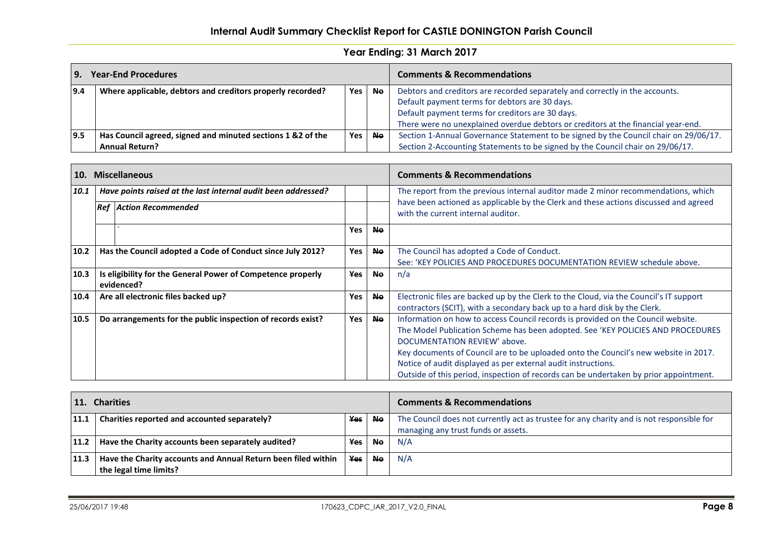# **Internal Audit Summary Checklist Report for CASTLE DONINGTON Parish Council**

| <b>Year-End Procedures</b><br>l 9. |                                                                                 | <b>Comments &amp; Recommendations</b> |  |                                                                                      |  |
|------------------------------------|---------------------------------------------------------------------------------|---------------------------------------|--|--------------------------------------------------------------------------------------|--|
| 9.4                                | Where applicable, debtors and creditors properly recorded?<br>Yes<br><b>No</b>  |                                       |  | Debtors and creditors are recorded separately and correctly in the accounts.         |  |
|                                    |                                                                                 |                                       |  | Default payment terms for debtors are 30 days.                                       |  |
|                                    |                                                                                 |                                       |  | Default payment terms for creditors are 30 days.                                     |  |
|                                    |                                                                                 |                                       |  | There were no unexplained overdue debtors or creditors at the financial year-end.    |  |
| 9.5                                | Has Council agreed, signed and minuted sections 1 &2 of the<br>Yes<br><b>No</b> |                                       |  | Section 1-Annual Governance Statement to be signed by the Council chair on 29/06/17. |  |
|                                    | <b>Annual Return?</b>                                                           |                                       |  | Section 2-Accounting Statements to be signed by the Council chair on 29/06/17.       |  |

| <b>10.</b> |                                                                                                      | <b>Miscellaneous</b>                                       |                                                                                   |                                                                                                                                                                                                                                                                                                                                                             | <b>Comments &amp; Recommendations</b>                                                                                                                               |  |
|------------|------------------------------------------------------------------------------------------------------|------------------------------------------------------------|-----------------------------------------------------------------------------------|-------------------------------------------------------------------------------------------------------------------------------------------------------------------------------------------------------------------------------------------------------------------------------------------------------------------------------------------------------------|---------------------------------------------------------------------------------------------------------------------------------------------------------------------|--|
| 10.1       | Have points raised at the last internal audit been addressed?                                        |                                                            | The report from the previous internal auditor made 2 minor recommendations, which |                                                                                                                                                                                                                                                                                                                                                             |                                                                                                                                                                     |  |
|            |                                                                                                      | <b>Ref Action Recommended</b>                              |                                                                                   |                                                                                                                                                                                                                                                                                                                                                             | have been actioned as applicable by the Clerk and these actions discussed and agreed<br>with the current internal auditor.                                          |  |
|            |                                                                                                      |                                                            | Yes                                                                               | <b>Ne</b>                                                                                                                                                                                                                                                                                                                                                   |                                                                                                                                                                     |  |
| 10.2       |                                                                                                      | Has the Council adopted a Code of Conduct since July 2012? | <b>Yes</b>                                                                        | <b>No</b>                                                                                                                                                                                                                                                                                                                                                   | The Council has adopted a Code of Conduct.<br>See: 'KEY POLICIES AND PROCEDURES DOCUMENTATION REVIEW schedule above.                                                |  |
| 10.3       | Is eligibility for the General Power of Competence properly<br><b>Yes</b><br><b>No</b><br>evidenced? |                                                            |                                                                                   | n/a                                                                                                                                                                                                                                                                                                                                                         |                                                                                                                                                                     |  |
| 10.4       |                                                                                                      | Are all electronic files backed up?                        | <b>Yes</b>                                                                        | <b>No</b>                                                                                                                                                                                                                                                                                                                                                   | Electronic files are backed up by the Clerk to the Cloud, via the Council's IT support<br>contractors (SCIT), with a secondary back up to a hard disk by the Clerk. |  |
| 10.5       | Do arrangements for the public inspection of records exist?<br>Yes<br><b>No</b>                      |                                                            |                                                                                   | Information on how to access Council records is provided on the Council website.<br>The Model Publication Scheme has been adopted. See 'KEY POLICIES AND PROCEDURES<br>DOCUMENTATION REVIEW' above.<br>Key documents of Council are to be uploaded onto the Council's new website in 2017.<br>Notice of audit displayed as per external audit instructions. |                                                                                                                                                                     |  |
|            |                                                                                                      |                                                            |                                                                                   |                                                                                                                                                                                                                                                                                                                                                             | Outside of this period, inspection of records can be undertaken by prior appointment.                                                                               |  |

| 11. Charities |                                                               | <b>Comments &amp; Recommendations</b> |           |                                                                                          |
|---------------|---------------------------------------------------------------|---------------------------------------|-----------|------------------------------------------------------------------------------------------|
| 11.1          | Charities reported and accounted separately?                  | Yes                                   | Ne.       | The Council does not currently act as trustee for any charity and is not responsible for |
|               |                                                               |                                       |           | managing any trust funds or assets.                                                      |
| 11.2          | Have the Charity accounts been separately audited?            | <b>Yes</b>                            | <b>No</b> | N/A                                                                                      |
| 11.3          | Have the Charity accounts and Annual Return been filed within | <b>Yes</b>                            | <b>No</b> | N/A                                                                                      |
|               | the legal time limits?                                        |                                       |           |                                                                                          |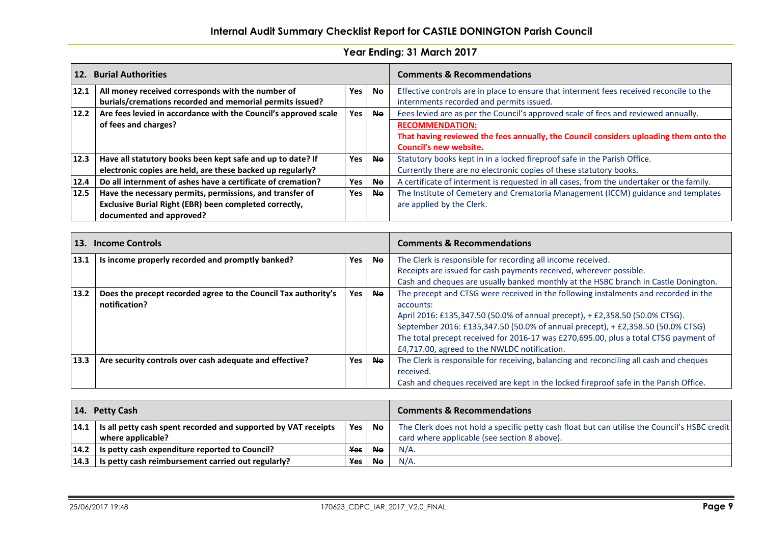# **Internal Audit Summary Checklist Report for CASTLE DONINGTON Parish Council**

| 12.    | <b>Burial Authorities</b>                                       |            | <b>Comments &amp; Recommendations</b> |                                                                                          |
|--------|-----------------------------------------------------------------|------------|---------------------------------------|------------------------------------------------------------------------------------------|
| 12.1   | All money received corresponds with the number of               | <b>Yes</b> | <b>Ne</b>                             | Effective controls are in place to ensure that interment fees received reconcile to the  |
|        | burials/cremations recorded and memorial permits issued?        |            |                                       | internments recorded and permits issued.                                                 |
| $12.2$ | Are fees levied in accordance with the Council's approved scale | Yes        | <b>Ne</b>                             | Fees levied are as per the Council's approved scale of fees and reviewed annually.       |
|        | of fees and charges?                                            |            |                                       | <b>RECOMMENDATION:</b>                                                                   |
|        |                                                                 |            |                                       | That having reviewed the fees annually, the Council considers uploading them onto the    |
|        |                                                                 |            |                                       | Council's new website.                                                                   |
| 12.3   | Have all statutory books been kept safe and up to date? If      | <b>Yes</b> | <b>No</b>                             | Statutory books kept in in a locked fireproof safe in the Parish Office.                 |
|        | electronic copies are held, are these backed up regularly?      |            |                                       | Currently there are no electronic copies of these statutory books.                       |
| 12.4   | Do all internment of ashes have a certificate of cremation?     | Yes        | <b>Ne</b>                             | A certificate of interment is requested in all cases, from the undertaker or the family. |
| 12.5   | Have the necessary permits, permissions, and transfer of        | Yes        | <b>No</b>                             | The Institute of Cemetery and Crematoria Management (ICCM) guidance and templates        |
|        | Exclusive Burial Right (EBR) been completed correctly,          |            |                                       | are applied by the Clerk.                                                                |
|        | documented and approved?                                        |            |                                       |                                                                                          |

| 13.            | <b>Income Controls</b>                                                          |            |                                                             | <b>Comments &amp; Recommendations</b>                                                                                                                                                                                                                                                                                                                                                                       |  |
|----------------|---------------------------------------------------------------------------------|------------|-------------------------------------------------------------|-------------------------------------------------------------------------------------------------------------------------------------------------------------------------------------------------------------------------------------------------------------------------------------------------------------------------------------------------------------------------------------------------------------|--|
| 13.1           | Is income properly recorded and promptly banked?<br><b>Yes</b><br><b>Ne</b>     |            | The Clerk is responsible for recording all income received. |                                                                                                                                                                                                                                                                                                                                                                                                             |  |
|                |                                                                                 |            |                                                             | Receipts are issued for cash payments received, wherever possible.                                                                                                                                                                                                                                                                                                                                          |  |
|                |                                                                                 |            |                                                             | Cash and cheques are usually banked monthly at the HSBC branch in Castle Donington.                                                                                                                                                                                                                                                                                                                         |  |
| $ 13.2\rangle$ | Does the precept recorded agree to the Council Tax authority's<br>notification? | Yes        | <b>Ne</b>                                                   | The precept and CTSG were received in the following instalments and recorded in the<br>accounts:<br>April 2016: £135,347.50 (50.0% of annual precept), + £2,358.50 (50.0% CTSG).<br>September 2016: £135,347.50 (50.0% of annual precept), + £2,358.50 (50.0% CTSG)<br>The total precept received for 2016-17 was £270,695.00, plus a total CTSG payment of<br>£4,717.00, agreed to the NWLDC notification. |  |
| 13.3           | Are security controls over cash adequate and effective?                         | <b>Yes</b> | <b>Ne</b>                                                   | The Clerk is responsible for receiving, balancing and reconciling all cash and cheques                                                                                                                                                                                                                                                                                                                      |  |
|                |                                                                                 |            |                                                             | received.                                                                                                                                                                                                                                                                                                                                                                                                   |  |
|                |                                                                                 |            |                                                             | Cash and cheques received are kept in the locked fireproof safe in the Parish Office.                                                                                                                                                                                                                                                                                                                       |  |

| 14.<br><b>Petty Cash</b> |                                                                                              | <b>Comments &amp; Recommendations</b> |           |                                                                                                                                               |
|--------------------------|----------------------------------------------------------------------------------------------|---------------------------------------|-----------|-----------------------------------------------------------------------------------------------------------------------------------------------|
|                          | $ 14.1 $ is all petty cash spent recorded and supported by VAT receipts<br>where applicable? | Yes                                   | l No      | The Clerk does not hold a specific petty cash float but can utilise the Council's HSBC credit<br>card where applicable (see section 8 above). |
|                          | $14.2$   Is petty cash expenditure reported to Council?                                      | <b>Yes</b>                            | <b>Ne</b> | $N/A$ .                                                                                                                                       |
|                          | $14.3$   Is petty cash reimbursement carried out regularly?                                  | <b>Yes</b>                            | <b>Ne</b> | $N/A$ .                                                                                                                                       |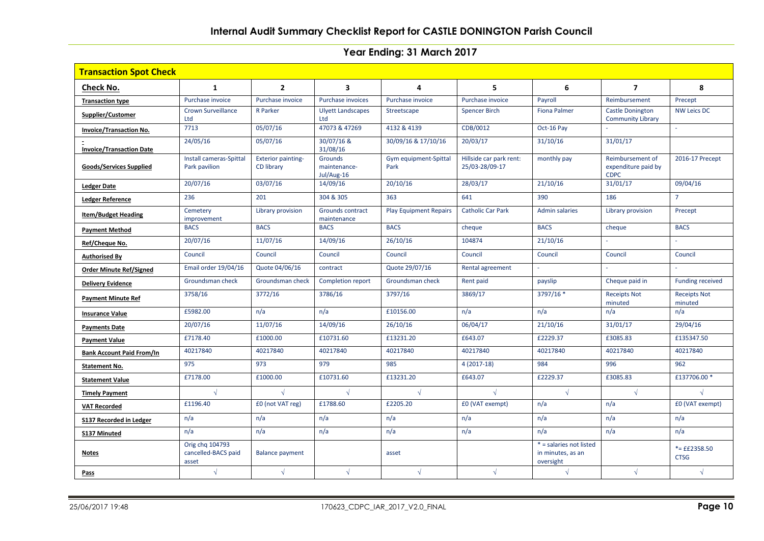| <b>Transaction Spot Check</b>    |                                                 |                                         |                                       |                               |                                           |                                                           |                                                        |                                |  |
|----------------------------------|-------------------------------------------------|-----------------------------------------|---------------------------------------|-------------------------------|-------------------------------------------|-----------------------------------------------------------|--------------------------------------------------------|--------------------------------|--|
| Check No.                        | 1                                               | $\overline{2}$                          | 3                                     | 4                             | 5                                         | 6                                                         | $\overline{\phantom{a}}$                               | 8                              |  |
| <b>Transaction type</b>          | Purchase invoice                                | Purchase invoice                        | <b>Purchase invoices</b>              | Purchase invoice              | Purchase invoice                          | Payroll                                                   | Reimbursement                                          | Precept                        |  |
| Supplier/Customer                | <b>Crown Surveillance</b><br>Ltd                | <b>R</b> Parker                         | <b>Ulyett Landscapes</b><br>Ltd       | Streetscape                   | <b>Spencer Birch</b>                      | <b>Fiona Palmer</b>                                       | <b>Castle Donington</b><br><b>Community Library</b>    | <b>NW Leics DC</b>             |  |
| <b>Invoice/Transaction No.</b>   | 7713                                            | 05/07/16                                | 47073 & 47269                         | 4132 & 4139                   | CDB/0012                                  | Oct-16 Pay                                                |                                                        |                                |  |
| <b>Invoice/Transaction Date</b>  | 24/05/16                                        | 05/07/16                                | 30/07/16 &<br>31/08/16                | 30/09/16 & 17/10/16           | 20/03/17                                  | 31/10/16                                                  | 31/01/17                                               |                                |  |
| Goods/Services Supplied          | Install cameras-Spittal<br>Park pavilion        | <b>Exterior painting-</b><br>CD library | Grounds<br>maintenance-<br>Jul/Aug-16 | Gym equipment-Spittal<br>Park | Hillside car park rent:<br>25/03-28/09-17 | monthly pay                                               | Reimbursement of<br>expenditure paid by<br><b>CDPC</b> | 2016-17 Precept                |  |
| <b>Ledger Date</b>               | 20/07/16                                        | 03/07/16                                | 14/09/16                              | 20/10/16                      | 28/03/17                                  | 21/10/16                                                  | 31/01/17                                               | 09/04/16                       |  |
| <b>Ledger Reference</b>          | 236                                             | 201                                     | 304 & 305                             | 363                           | 641                                       | 390                                                       | 186                                                    | $\overline{7}$                 |  |
| <b>Item/Budget Heading</b>       | Cemetery<br>improvement                         | Library provision                       | Grounds contract<br>maintenance       | <b>Play Equipment Repairs</b> | <b>Catholic Car Park</b>                  | <b>Admin salaries</b>                                     | Library provision                                      | Precept                        |  |
| <b>Payment Method</b>            | <b>BACS</b>                                     | <b>BACS</b>                             | <b>BACS</b>                           | <b>BACS</b>                   | cheque                                    | <b>BACS</b>                                               | cheque                                                 | <b>BACS</b>                    |  |
| Ref/Cheque No.                   | 20/07/16                                        | 11/07/16                                | 14/09/16                              | 26/10/16                      | 104874                                    | 21/10/16                                                  |                                                        |                                |  |
| <b>Authorised By</b>             | Council                                         | Council                                 | Council                               | Council                       | Council                                   | Council                                                   | Council                                                | Council                        |  |
| <b>Order Minute Ref/Signed</b>   | Email order 19/04/16                            | Quote 04/06/16                          | contract                              | Quote 29/07/16                | Rental agreement                          | ÷.                                                        |                                                        |                                |  |
| <b>Delivery Evidence</b>         | Groundsman check                                | Groundsman check                        | Completion report                     | Groundsman check              | Rent paid                                 | payslip                                                   | Cheque paid in                                         | <b>Funding received</b>        |  |
| <b>Payment Minute Ref</b>        | 3758/16                                         | 3772/16                                 | 3786/16                               | 3797/16                       | 3869/17                                   | 3797/16 *                                                 | <b>Receipts Not</b><br>minuted                         | <b>Receipts Not</b><br>minuted |  |
| <b>Insurance Value</b>           | £5982.00                                        | n/a                                     | n/a                                   | £10156.00                     | n/a                                       | n/a                                                       | n/a                                                    | n/a                            |  |
| <b>Payments Date</b>             | 20/07/16                                        | 11/07/16                                | 14/09/16                              | 26/10/16                      | 06/04/17                                  | 21/10/16                                                  | 31/01/17                                               | 29/04/16                       |  |
| <b>Payment Value</b>             | £7178.40                                        | £1000.00                                | £10731.60                             | £13231.20                     | £643.07                                   | £2229.37                                                  | £3085.83                                               | £135347.50                     |  |
| <b>Bank Account Paid From/In</b> | 40217840                                        | 40217840                                | 40217840                              | 40217840                      | 40217840                                  | 40217840                                                  | 40217840                                               | 40217840                       |  |
| <b>Statement No.</b>             | 975                                             | 973                                     | 979                                   | 985                           | $4(2017-18)$                              | 984                                                       | 996                                                    | 962                            |  |
| <b>Statement Value</b>           | £7178.00                                        | £1000.00                                | £10731.60                             | £13231.20                     | £643.07                                   | £2229.37                                                  | £3085.83                                               | £137706.00*                    |  |
| <b>Timely Payment</b>            | $\sqrt{ }$                                      | $\sqrt{ }$                              | $\sqrt{ }$                            | $\sqrt{ }$                    | $\sqrt{ }$                                | $\sqrt{ }$                                                | $\sqrt{ }$                                             |                                |  |
| <b>VAT Recorded</b>              | £1196.40                                        | £0 (not VAT reg)                        | £1788.60                              | £2205.20                      | £0 (VAT exempt)                           | n/a                                                       | n/a                                                    | £0 (VAT exempt)                |  |
| S137 Recorded in Ledger          | n/a                                             | n/a                                     | n/a                                   | n/a                           | n/a                                       | n/a                                                       | n/a                                                    | n/a                            |  |
| <b>S137 Minuted</b>              | n/a                                             | n/a                                     | n/a                                   | n/a                           | n/a                                       | n/a                                                       | n/a                                                    | n/a                            |  |
| <b>Notes</b>                     | Orig chq 104793<br>cancelled-BACS paid<br>asset | <b>Balance payment</b>                  |                                       | asset                         |                                           | * = salaries not listed<br>in minutes, as an<br>oversight |                                                        | $*=$ ££2358.50<br><b>CTSG</b>  |  |
| Pass                             | $\sqrt{ }$                                      | $\sqrt{ }$                              | $\sqrt{ }$                            | $\sqrt{ }$                    | $\sqrt{ }$                                | $\sqrt{ }$                                                | $\sqrt{ }$                                             | $\sqrt{ }$                     |  |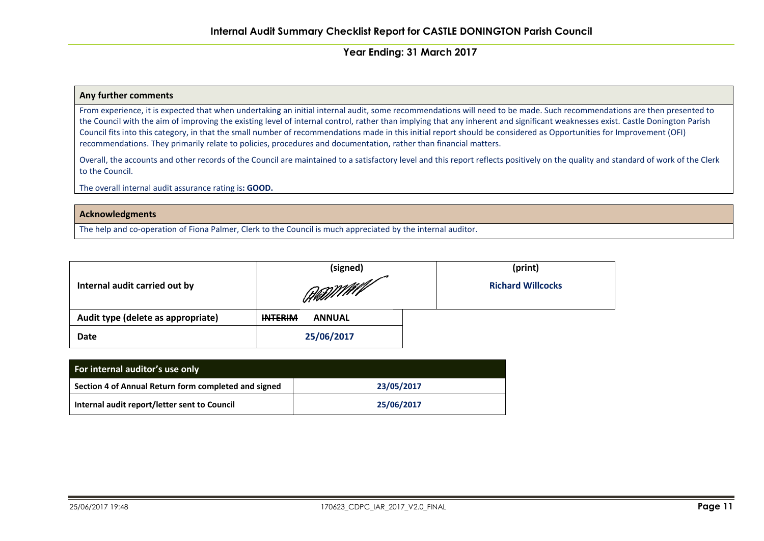#### **Any further comments**

From experience, it is expected that when undertaking an initial internal audit, some recommendations will need to be made. Such recommendations are then presented to the Council with the aim of improving the existing level of internal control, rather than implying that any inherent and significant weaknesses exist. Castle Donington Parish Council fits into this category, in that the small number of recommendations made in this initial report should be considered as Opportunities for Improvement (OFI) recommendations. They primarily relate to policies, procedures and documentation, rather than financial matters.

Overall, the accounts and other records of the Council are maintained to a satisfactory level and this report reflects positively on the quality and standard of work of the Clerk to the Council.

The overall internal audit assurance rating is**: GOOD.**

#### **Acknowledgments**

The help and co-operation of Fiona Palmer, Clerk to the Council is much appreciated by the internal auditor.

|                                    | (signed)                        | (print)                  |
|------------------------------------|---------------------------------|--------------------------|
| Internal audit carried out by      | Hill William                    | <b>Richard Willcocks</b> |
| Audit type (delete as appropriate) | <b>INTERIM</b><br><b>ANNUAL</b> |                          |
| <b>Date</b>                        | 25/06/2017                      |                          |

| For internal auditor's use only                      |            |  |  |  |  |
|------------------------------------------------------|------------|--|--|--|--|
| Section 4 of Annual Return form completed and signed | 23/05/2017 |  |  |  |  |
| Internal audit report/letter sent to Council         | 25/06/2017 |  |  |  |  |